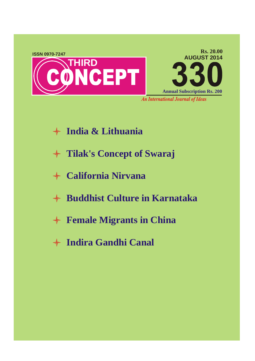

- **India & Lithuania**
- **Tilak's Concept of Swaraj**
- **California Nirvana**
- **Buddhist Culture in Karnataka**
- **Female Migrants in China**
- **Indira Gandhi Canal**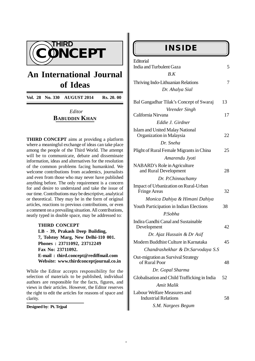

# **An International Journal of Ideas**

**Vol. 28 No. 330 AUGUST 2014 Rs. 20. 00**

#### *Editor* **BABUDDIN KHAN**

**THIRD CONCEPT** aims at providing a platform where a meaningful exchange of ideas can take place among the people of the Third World. The attempt will be to communicate, debate and disseminate information, ideas and alternatives for the resolution of the common problems facing humankind. We welcome contributions from academics, journalists and even from those who may never have published anything before. The only requirement is a concern for and desire to understand and take the issue of our time. Contributions may be descriptive, analytical or theoretical. They may be in the form of original articles, reactions to previous contributions, or even a comment on a prevailing situation. All contributions, neatly typed in double space, may be addressed to:

> **THIRD CONCEPT LB - 39, Prakash Deep Building, 7, Tolstoy Marg, New Delhi-110 001. Phones : 23711092, 23712249 Fax No: 23711092. E-mail : third.concept@rediffmail.com Website: www.thirdconceptjournal.co.in**

While the Editor accepts responsibility for the selection of materials to be published, individual authors are responsible for the facts, figures, and views in their articles. However, the Editor reserves the right to edit the articles for reasons of space and clarity.

**Designed by**: **Pt. Tejpal**

### **INSIDE**

| Editorial<br>India and Turbulent Gaza                              | 5  |
|--------------------------------------------------------------------|----|
| B.K                                                                |    |
| Thriving Indo-Lithuanian Relations                                 | 7  |
| Dr. Ahalya Sial                                                    |    |
| Bal Gangadhar Tilak's Concept of Swaraj                            | 13 |
| Virender Singh                                                     |    |
| California Nirvana                                                 | 17 |
| Eddie J. Girdner                                                   |    |
| <b>Islam and United Malay National</b><br>Organization in Malaysia | 22 |
| Dr. Sneha                                                          |    |
| Plight of Rural Female Migrants in China                           | 25 |
| Amarendu Jyoti                                                     |    |
| NABARD's Role in Agriculture<br>and Rural Development              | 28 |
| Dr. P.Chinnachamy                                                  |    |
| Impact of Urbanization on Rural-Urban<br><b>Fringe Areas</b>       | 32 |
| Monica Dahiya & Himani Dahiya                                      |    |
| Youth Participation in Indian Elections                            | 38 |
| P.Sobha                                                            |    |
| Indira Gandhi Canal and Sustainable<br>Development                 | 42 |
| Dr. Ajaz Hussain & Dr Asif                                         |    |
| Modern Buddhist Culture in Karnataka                               | 45 |
| Chandrashekhar & Dr.Sarvodaya S.S                                  |    |
| Out-migration as Survival Strategy<br>of Rural Poor                | 48 |
| Dr. Gopal Sharma                                                   |    |
| Globalisation and Child Trafficking in India                       | 52 |
| <b>Amit Malik</b>                                                  |    |
| Labour Welfare Measures and<br><b>Industrial Relations</b>         | 58 |

 *S.M. Nargees Begum*

 *-*